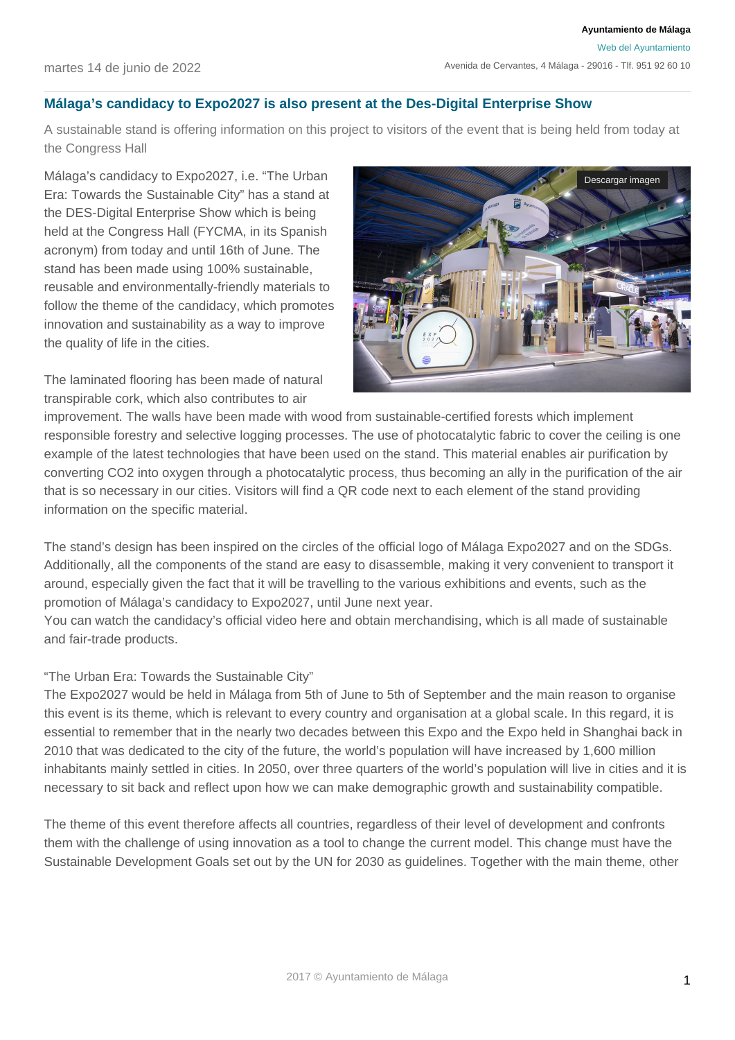## **Málaga's candidacy to Expo2027 is also present at the Des-Digital Enterprise Show**

A sustainable stand is offering information on this project to visitors of the event that is being held from today at the Congress Hall

Málaga's candidacy to Expo2027, i.e. "The Urban Era: Towards the Sustainable City" has a stand at the DES-Digital Enterprise Show which is being held at the Congress Hall (FYCMA, in its Spanish acronym) from today and until 16th of June. The stand has been made using 100% sustainable, reusable and environmentally-friendly materials to follow the theme of the candidacy, which promotes innovation and sustainability as a way to improve the quality of life in the cities.

The laminated flooring has been made of natural transpirable cork, which also contributes to air



improvement. The walls have been made with wood from sustainable-certified forests which implement responsible forestry and selective logging processes. The use of photocatalytic fabric to cover the ceiling is one example of the latest technologies that have been used on the stand. This material enables air purification by converting CO2 into oxygen through a photocatalytic process, thus becoming an ally in the purification of the air that is so necessary in our cities. Visitors will find a QR code next to each element of the stand providing information on the specific material.

The stand's design has been inspired on the circles of the official logo of Málaga Expo2027 and on the SDGs. Additionally, all the components of the stand are easy to disassemble, making it very convenient to transport it around, especially given the fact that it will be travelling to the various exhibitions and events, such as the promotion of Málaga's candidacy to Expo2027, until June next year.

You can watch the candidacy's official video here and obtain merchandising, which is all made of sustainable and fair-trade products.

## "The Urban Era: Towards the Sustainable City"

The Expo2027 would be held in Málaga from 5th of June to 5th of September and the main reason to organise this event is its theme, which is relevant to every country and organisation at a global scale. In this regard, it is essential to remember that in the nearly two decades between this Expo and the Expo held in Shanghai back in 2010 that was dedicated to the city of the future, the world's population will have increased by 1,600 million inhabitants mainly settled in cities. In 2050, over three quarters of the world's population will live in cities and it is necessary to sit back and reflect upon how we can make demographic growth and sustainability compatible.

The theme of this event therefore affects all countries, regardless of their level of development and confronts them with the challenge of using innovation as a tool to change the current model. This change must have the Sustainable Development Goals set out by the UN for 2030 as guidelines. Together with the main theme, other